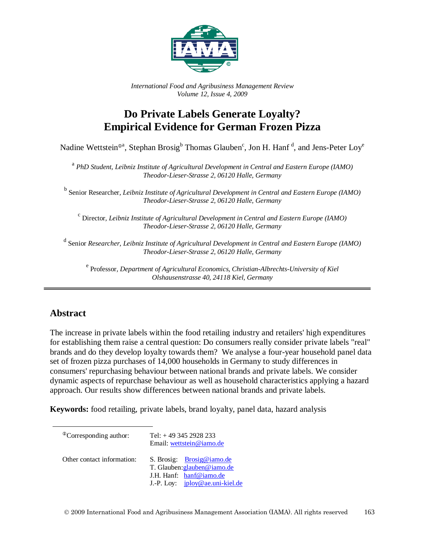

*International Food and Agribusiness Management Review Volume 12, Issue 4, 2009*

# **Do Private Labels Generate Loyalty? Empirical Evidence for German Frozen Pizza**

Nadine Wettstein®ª, Stephan Brosig<sup>b</sup> Thomas Glauben<sup>c</sup>, Jon H. Hanf  $\rm^d$ , and Jens-Peter Loy<sup>e</sup>

<sup>a</sup> *PhD Student, Leibniz Institute of Agricultural Development in Central and Eastern Europe (IAMO) Theodor-Lieser-Strasse 2, 06120 Halle, Germany*

<sup>b</sup> Senior Researcher*, Leibniz Institute of Agricultural Development in Central and Eastern Europe (IAMO) Theodor-Lieser-Strasse 2, 06120 Halle, Germany*

<sup>c</sup> Director*, Leibniz Institute of Agricultural Development in Central and Eastern Europe (IAMO) Theodor-Lieser-Strasse 2, 06120 Halle, Germany*

<sup>d</sup> Senior *Researcher, Leibniz Institute of Agricultural Development in Central and Eastern Europe (IAMO) Theodor-Lieser-Strasse 2, 06120 Halle, Germany*

<sup>e</sup> Professor*, Department of Agricultural Economics, Christian-Albrechts-University of Kiel Olshausenstrasse 40, 24118 Kiel, Germany*

# **Abstract**

The increase in private labels within the food retailing industry and retailers' high expenditures for establishing them raise a central question: Do consumers really consider private labels "real" brands and do they develop loyalty towards them? We analyse a four-year household panel data set of frozen pizza purchases of 14,000 households in Germany to study differences in consumers' repurchasing behaviour between national brands and private labels. We consider dynamic aspects of repurchase behaviour as well as household characteristics applying a hazard approach. Our results show differences between national brands and private labels.

**Keywords:** food retailing, private labels, brand loyalty, panel data, hazard analysis

| <sup>The</sup> Corresponding author: | Tel: $+493452928233$<br>Email: wettstein@iamo.de                                                                         |  |
|--------------------------------------|--------------------------------------------------------------------------------------------------------------------------|--|
| Other contact information:           | S. Brosig: Brosig@iamo.de<br>T. Glauben: glauben@iamo.de<br>J.H. Hanf: hanf@iamo.de<br>J.-P. Loy: $iploy@ae.uni-kiel.de$ |  |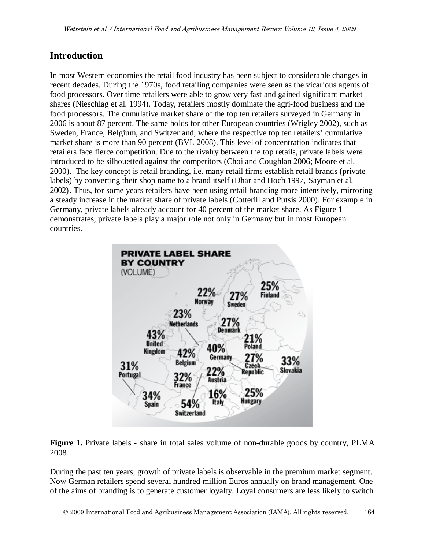## **Introduction**

In most Western economies the retail food industry has been subject to considerable changes in recent decades. During the 1970s, food retailing companies were seen as the vicarious agents of food processors. Over time retailers were able to grow very fast and gained significant market shares (Nieschlag et al. 1994). Today, retailers mostly dominate the agri-food business and the food processors. The cumulative market share of the top ten retailers surveyed in Germany in 2006 is about 87 percent. The same holds for other European countries (Wrigley 2002), such as Sweden, France, Belgium, and Switzerland, where the respective top ten retailers' cumulative market share is more than 90 percent (BVL 2008). This level of concentration indicates that retailers face fierce competition. Due to the rivalry between the top retails, private labels were introduced to be silhouetted against the competitors (Choi and Coughlan 2006; Moore et al. 2000). The key concept is retail branding, i.e. many retail firms establish retail brands (private labels) by converting their shop name to a brand itself (Dhar and Hoch 1997, Sayman et al. 2002). Thus, for some years retailers have been using retail branding more intensively, mirroring a steady increase in the market share of private labels (Cotterill and Putsis 2000). For example in Germany, private labels already account for 40 percent of the market share. As Figure 1 demonstrates, private labels play a major role not only in Germany but in most European countries.



**Figure 1.** Private labels - share in total sales volume of non-durable goods by country, PLMA 2008

During the past ten years, growth of private labels is observable in the premium market segment. Now German retailers spend several hundred million Euros annually on brand management. One of the aims of branding is to generate customer loyalty. Loyal consumers are less likely to switch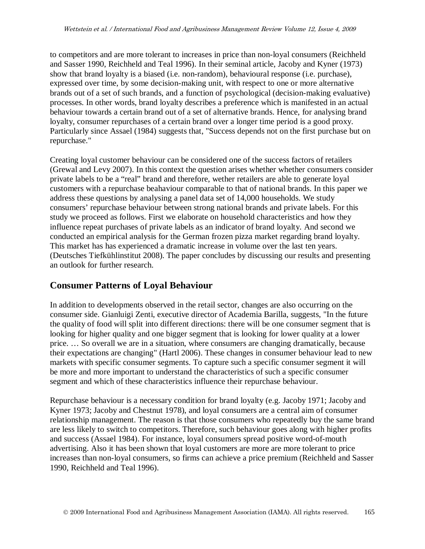to competitors and are more tolerant to increases in price than non-loyal consumers (Reichheld and Sasser 1990, Reichheld and Teal 1996). In their seminal article, Jacoby and Kyner (1973) show that brand loyalty is a biased (i.e. non-random), behavioural response (i.e. purchase), expressed over time, by some decision-making unit, with respect to one or more alternative brands out of a set of such brands, and a function of psychological (decision-making evaluative) processes. In other words, brand loyalty describes a preference which is manifested in an actual behaviour towards a certain brand out of a set of alternative brands. Hence, for analysing brand loyalty, consumer repurchases of a certain brand over a longer time period is a good proxy. Particularly since Assael (1984) suggests that, "Success depends not on the first purchase but on repurchase."

Creating loyal customer behaviour can be considered one of the success factors of retailers (Grewal and Levy 2007). In this context the question arises whether whether consumers consider private labels to be a "real" brand and therefore, wether retailers are able to generate loyal customers with a repurchase beahaviour comparable to that of national brands. In this paper we address these questions by analysing a panel data set of 14,000 households. We study consumers' repurchase behaviour between strong national brands and private labels. For this study we proceed as follows. First we elaborate on household characteristics and how they influence repeat purchases of private labels as an indicator of brand loyalty. And second we conducted an empirical analysis for the German frozen pizza market regarding brand loyalty. This market has has experienced a dramatic increase in volume over the last ten years. (Deutsches Tiefkühlinstitut 2008). The paper concludes by discussing our results and presenting an outlook for further research.

## **Consumer Patterns of Loyal Behaviour**

In addition to developments observed in the retail sector, changes are also occurring on the consumer side. Gianluigi Zenti, executive director of Academia Barilla, suggests, "In the future the quality of food will split into different directions: there will be one consumer segment that is looking for higher quality and one bigger segment that is looking for lower quality at a lower price. … So overall we are in a situation, where consumers are changing dramatically, because their expectations are changing" (Hartl 2006). These changes in consumer behaviour lead to new markets with specific consumer segments. To capture such a specific consumer segment it will be more and more important to understand the characteristics of such a specific consumer segment and which of these characteristics influence their repurchase behaviour.

Repurchase behaviour is a necessary condition for brand loyalty (e.g. Jacoby 1971; Jacoby and Kyner 1973; Jacoby and Chestnut 1978), and loyal consumers are a central aim of consumer relationship management. The reason is that those consumers who repeatedly buy the same brand are less likely to switch to competitors. Therefore, such behaviour goes along with higher profits and success (Assael 1984). For instance, loyal consumers spread positive word-of-mouth advertising. Also it has been shown that loyal customers are more are more tolerant to price increases than non-loyal consumers, so firms can achieve a price premium (Reichheld and Sasser 1990, Reichheld and Teal 1996).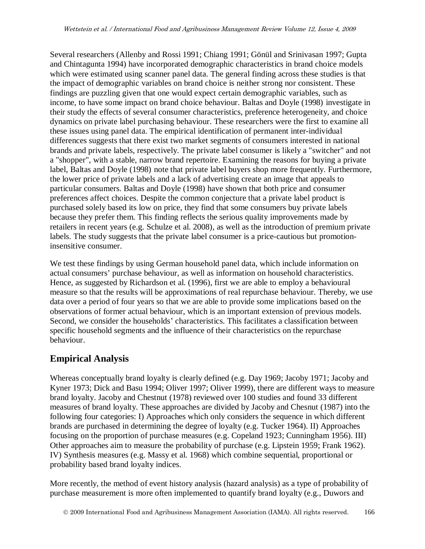Several researchers (Allenby and Rossi 1991; Chiang 1991; Gönül and Srinivasan 1997; Gupta and Chintagunta 1994) have incorporated demographic characteristics in brand choice models which were estimated using scanner panel data. The general finding across these studies is that the impact of demographic variables on brand choice is neither strong nor consistent. These findings are puzzling given that one would expect certain demographic variables, such as income, to have some impact on brand choice behaviour. Baltas and Doyle (1998) investigate in their study the effects of several consumer characteristics, preference heterogeneity, and choice dynamics on private label purchasing behaviour. These researchers were the first to examine all these issues using panel data. The empirical identification of permanent inter-individual differences suggests that there exist two market segments of consumers interested in national brands and private labels, respectively. The private label consumer is likely a "switcher" and not a "shopper", with a stable, narrow brand repertoire. Examining the reasons for buying a private label, Baltas and Doyle (1998) note that private label buyers shop more frequently. Furthermore, the lower price of private labels and a lack of advertising create an image that appeals to particular consumers. Baltas and Doyle (1998) have shown that both price and consumer preferences affect choices. Despite the common conjecture that a private label product is purchased solely based its low on price, they find that some consumers buy private labels because they prefer them. This finding reflects the serious quality improvements made by retailers in recent years (e.g. Schulze et al. 2008), as well as the introduction of premium private labels. The study suggests that the private label consumer is a price-cautious but promotioninsensitive consumer.

We test these findings by using German household panel data, which include information on actual consumers' purchase behaviour, as well as information on household characteristics. Hence, as suggested by Richardson et al. (1996), first we are able to employ a behavioural measure so that the results will be approximations of real repurchase behaviour. Thereby, we use data over a period of four years so that we are able to provide some implications based on the observations of former actual behaviour, which is an important extension of previous models. Second, we consider the households' characteristics. This facilitates a classification between specific household segments and the influence of their characteristics on the repurchase behaviour.

# **Empirical Analysis**

Whereas conceptually brand loyalty is clearly defined (e.g. Day 1969; Jacoby 1971; Jacoby and Kyner 1973; Dick and Basu 1994; Oliver 1997; Oliver 1999), there are different ways to measure brand loyalty. Jacoby and Chestnut (1978) reviewed over 100 studies and found 33 different measures of brand loyalty. These approaches are divided by Jacoby and Chesnut (1987) into the following four categories: I) Approaches which only considers the sequence in which different brands are purchased in determining the degree of loyalty (e.g. Tucker 1964). II) Approaches focusing on the proportion of purchase measures (e.g. Copeland 1923; Cunningham 1956). III) Other approaches aim to measure the probability of purchase (e.g. Lipstein 1959; Frank 1962). IV) Synthesis measures (e.g. Massy et al. 1968) which combine sequential, proportional or probability based brand loyalty indices.

More recently, the method of event history analysis (hazard analysis) as a type of probability of purchase measurement is more often implemented to quantify brand loyalty (e.g., Duwors and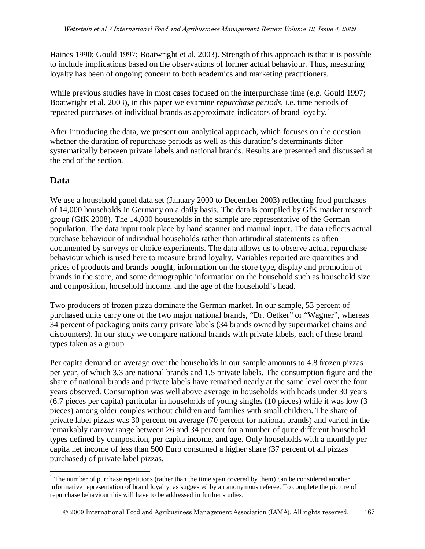Haines 1990; Gould 1997; Boatwright et al. 2003). Strength of this approach is that it is possible to include implications based on the observations of former actual behaviour. Thus, measuring loyalty has been of ongoing concern to both academics and marketing practitioners.

While previous studies have in most cases focused on the interpurchase time (e.g. Gould 1997; Boatwright et al. 2003), in this paper we examine *repurchase periods,* i.e. time periods of repeated purchases of individual brands as approximate indicators of brand loyalty.[1](#page-4-0)

After introducing the data, we present our analytical approach, which focuses on the question whether the duration of repurchase periods as well as this duration's determinants differ systematically between private labels and national brands. Results are presented and discussed at the end of the section.

# **Data**

We use a household panel data set (January 2000 to December 2003) reflecting food purchases of 14,000 households in Germany on a daily basis. The data is compiled by GfK market research group (GfK 2008). The 14,000 households in the sample are representative of the German population. The data input took place by hand scanner and manual input. The data reflects actual purchase behaviour of individual households rather than attitudinal statements as often documented by surveys or choice experiments. The data allows us to observe actual repurchase behaviour which is used here to measure brand loyalty. Variables reported are quantities and prices of products and brands bought, information on the store type, display and promotion of brands in the store, and some demographic information on the household such as household size and composition, household income, and the age of the household's head.

Two producers of frozen pizza dominate the German market. In our sample, 53 percent of purchased units carry one of the two major national brands, "Dr. Oetker" or "Wagner", whereas 34 percent of packaging units carry private labels (34 brands owned by supermarket chains and discounters). In our study we compare national brands with private labels, each of these brand types taken as a group.

Per capita demand on average over the households in our sample amounts to 4.8 frozen pizzas per year, of which 3.3 are national brands and 1.5 private labels. The consumption figure and the share of national brands and private labels have remained nearly at the same level over the four years observed. Consumption was well above average in households with heads under 30 years (6.7 pieces per capita) particular in households of young singles (10 pieces) while it was low (3 pieces) among older couples without children and families with small children. The share of private label pizzas was 30 percent on average (70 percent for national brands) and varied in the remarkably narrow range between 26 and 34 percent for a number of quite different household types defined by composition, per capita income, and age. Only households with a monthly per capita net income of less than 500 Euro consumed a higher share (37 percent of all pizzas purchased) of private label pizzas.

<span id="page-4-0"></span><sup>&</sup>lt;sup>1</sup> The number of purchase repetitions (rather than the time span covered by them) can be considered another informative representation of brand loyalty, as suggested by an anonymous referee. To complete the picture of repurchase behaviour this will have to be addressed in further studies.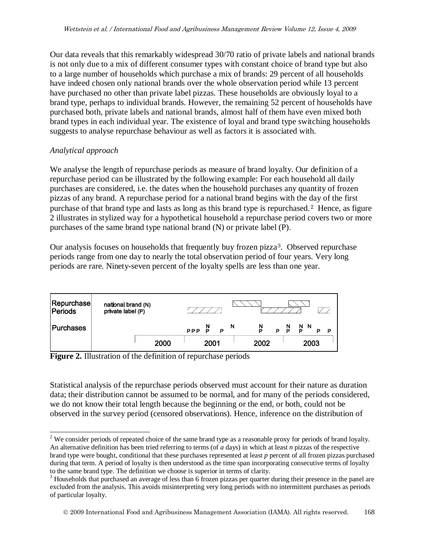Our data reveals that this remarkably widespread 30/70 ratio of private labels and national brands is not only due to a mix of different consumer types with constant choice of brand type but also to a large number of households which purchase a mix of brands: 29 percent of all households have indeed chosen only national brands over the whole observation period while 13 percent have purchased no other than private label pizzas. These households are obviously loyal to a brand type, perhaps to individual brands. However, the remaining 52 percent of households have purchased both, private labels and national brands, almost half of them have even mixed both brand types in each individual year. The existence of loyal and brand type switching households suggests to analyse repurchase behaviour as well as factors it is associated with.

#### *Analytical approach*

We analyse the length of repurchase periods as measure of brand loyalty. Our definition of a repurchase period can be illustrated by the following example: For each household all daily purchases are considered, i.e. the dates when the household purchases any quantity of frozen pizzas of any brand. A repurchase period for a national brand begins with the day of the first purchase of that brand type and lasts as long as this brand type is repurchased.<sup>[2](#page-5-0)</sup> Hence, as figure 2 illustrates in stylized way for a hypothetical household a repurchase period covers two or more purchases of the same brand type national brand (N) or private label (P).

Our analysis focuses on households that frequently buy frozen pizza<sup>[3](#page-5-1)</sup>. Observed repurchase periods range from one day to nearly the total observation period of four years. Very long periods are rare. Ninety-seven percent of the loyalty spells are less than one year.

| Repurchase       | national brand (N)<br>private label (P) |      |               |             |                                |
|------------------|-----------------------------------------|------|---------------|-------------|--------------------------------|
| <b>Purchases</b> |                                         |      | P<br>PPP<br>P | N<br>Ņ<br>P | $\frac{N}{P}$ N<br>P<br>P<br>D |
|                  |                                         | 2000 | 2001          | 2002        | 2003                           |

**Figure 2.** Illustration of the definition of repurchase periods

Statistical analysis of the repurchase periods observed must account for their nature as duration data; their distribution cannot be assumed to be normal, and for many of the periods considered, we do not know their total length because the beginning or the end, or both, could not be observed in the survey period (censored observations). Hence, inference on the distribution of

<span id="page-5-0"></span> $2$  We consider periods of repeated choice of the same brand type as a reasonable proxy for periods of brand loyalty. An alternative definition has been tried referring to terms (of *a* days) in which at least *n* pizzas of the respective brand type were bought, conditional that these purchases represented at least *p* percent of all frozen pizzas purchased during that term. A period of loyalty is then understood as the time span incorporating consecutive terms of loyalty to the same brand type. The definition we choose is superior in terms of clarity.

<span id="page-5-1"></span><sup>&</sup>lt;sup>3</sup> Households that purchased an average of less than 6 frozen pizzas per quarter during their presence in the panel are excluded from the analysis. This avoids misinterpreting very long periods with no intermittent purchases as periods of particular loyalty.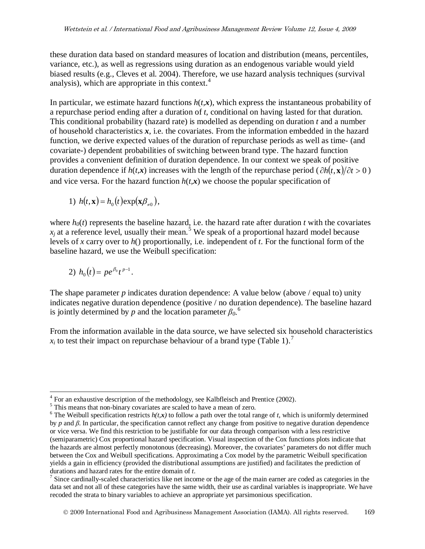these duration data based on standard measures of location and distribution (means, percentiles, variance, etc.), as well as regressions using duration as an endogenous variable would yield biased results (e.g., Cleves et al. 2004). Therefore, we use hazard analysis techniques (survival analysis), which are appropriate in this context. $4$ 

In particular, we estimate hazard functions  $h(t, x)$ , which express the instantaneous probability of a repurchase period ending after a duration of *t*, conditional on having lasted for that duration. This conditional probability (hazard rate) is modelled as depending on duration *t* and a number of household characteristics *x*, i.e. the covariates. From the information embedded in the hazard function, we derive expected values of the duration of repurchase periods as well as time- (and covariate-) dependent probabilities of switching between brand type. The hazard function provides a convenient definition of duration dependence. In our context we speak of positive duration dependence if  $h(t, x)$  increases with the length of the repurchase period ( $\partial h(t, x)/\partial t > 0$ ) and vice versa. For the hazard function  $h(t,x)$  we choose the popular specification of

1) 
$$
h(t, \mathbf{x}) = h_0(t) \exp(\mathbf{x}\beta_{\neq 0}),
$$

where  $h_0(t)$  represents the baseline hazard, i.e. the hazard rate after duration *t* with the covariates  $x_i$  at a reference level, usually their mean.<sup>[5](#page-6-1)</sup> We speak of a proportional hazard model because levels of *x* carry over to *h*() proportionally, i.e. independent of *t*. For the functional form of the baseline hazard, we use the Weibull specification:

2) 
$$
h_0(t) = pe^{\beta_0}t^{p-1}
$$
.

The shape parameter *p* indicates duration dependence: A value below (above / equal to) unity indicates negative duration dependence (positive / no duration dependence). The baseline hazard is jointly determined by *p* and the location parameter  $\beta_0$ <sup>[6](#page-6-2)</sup>.

From the information available in the data source, we have selected six household characteristics  $x_i$  to test their impact on repurchase behaviour of a brand type (Table 1).<sup>[7](#page-6-3)</sup>

<span id="page-6-2"></span><span id="page-6-1"></span>

<span id="page-6-0"></span><sup>&</sup>lt;sup>4</sup> For an exhaustive description of the methodology, see Kalbfleisch and Prentice (2002).<br><sup>5</sup> This means that non-binary covariates are scaled to have a mean of zero.<br><sup>6</sup> The Weibull specification restricts  $h(t, x)$  to fo by *p* and *β*. In particular, the specification cannot reflect any change from positive to negative duration dependence or vice versa. We find this restriction to be justifiable for our data through comparison with a less restrictive (semiparametric) Cox proportional hazard specification. Visual inspection of the Cox functions plots indicate that the hazards are almost perfectly monotonous (decreasing). Moreover, the covariates' parameters do not differ much between the Cox and Weibull specifications. Approximating a Cox model by the parametric Weibull specification yields a gain in efficiency (provided the distributional assumptions are justified) and facilitates the prediction of durations and hazard rates for the entire domain of  $t$ .

<span id="page-6-3"></span> $\frac{1}{2}$  Since cardinally-scaled characteristics like net income or the age of the main earner are coded as categories in the data set and not all of these categories have the same width, their use as cardinal variables is inappropriate. We have recoded the strata to binary variables to achieve an appropriate yet parsimonious specification.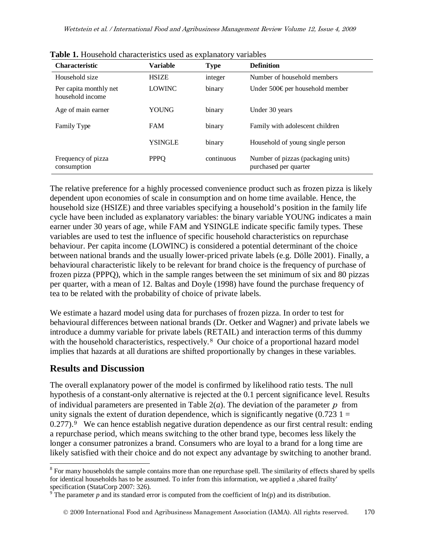| <b>Characteristic</b>                      | <b>Variable</b> | <b>Type</b> | <b>Definition</b>                                           |  |
|--------------------------------------------|-----------------|-------------|-------------------------------------------------------------|--|
| Household size                             | <b>HSIZE</b>    | integer     | Number of household members                                 |  |
| Per capita monthly net<br>household income | <b>LOWINC</b>   | binary      | Under 500€ per household member                             |  |
| Age of main earner                         | YOUNG           | binary      | Under 30 years                                              |  |
| Family Type                                | <b>FAM</b>      | binary      | Family with adolescent children                             |  |
|                                            | YSINGLE         | binary      | Household of young single person                            |  |
| Frequency of pizza<br>consumption          | <b>PPPQ</b>     | continuous  | Number of pizzas (packaging units)<br>purchased per quarter |  |

**Table 1.** Household characteristics used as explanatory variables

The relative preference for a highly processed convenience product such as frozen pizza is likely dependent upon economies of scale in consumption and on home time available. Hence, the household size (HSIZE) and three variables specifying a household's position in the family life cycle have been included as explanatory variables: the binary variable YOUNG indicates a main earner under 30 years of age, while FAM and YSINGLE indicate specific family types. These variables are used to test the influence of specific household characteristics on repurchase behaviour. Per capita income (LOWINC) is considered a potential determinant of the choice between national brands and the usually lower-priced private labels (e.g. Dölle 2001). Finally, a behavioural characteristic likely to be relevant for brand choice is the frequency of purchase of frozen pizza (PPPQ), which in the sample ranges between the set minimum of six and 80 pizzas per quarter, with a mean of 12. Baltas and Doyle (1998) have found the purchase frequency of tea to be related with the probability of choice of private labels.

We estimate a hazard model using data for purchases of frozen pizza. In order to test for behavioural differences between national brands (Dr. Oetker and Wagner) and private labels we introduce a dummy variable for private labels (RETAIL) and interaction terms of this dummy with the household characteristics, respectively.<sup>[8](#page-7-0)</sup> Our choice of a proportional hazard model implies that hazards at all durations are shifted proportionally by changes in these variables.

## **Results and Discussion**

The overall explanatory power of the model is confirmed by likelihood ratio tests. The null hypothesis of a constant-only alternative is rejected at the 0.1 percent significance level. Results of individual parameters are presented in Table  $2(a)$ . The deviation of the parameter p from unity signals the extent of duration dependence, which is significantly negative  $(0.7231)$ 0.277).<sup>[9](#page-7-1)</sup> We can hence establish negative duration dependence as our first central result: ending a repurchase period, which means switching to the other brand type, becomes less likely the longer a consumer patronizes a brand. Consumers who are loyal to a brand for a long time are likely satisfied with their choice and do not expect any advantage by switching to another brand.

<span id="page-7-0"></span><sup>&</sup>lt;sup>8</sup> For many households the sample contains more than one repurchase spell. The similarity of effects shared by spells for identical households has to be assumed. To infer from this information, we applied a , shared frailty' specification (StataCorp 2007: 326).

<span id="page-7-1"></span> $9^{\circ}$ The parameter *p* and its standard error is computed from the coefficient of  $ln(p)$  and its distribution.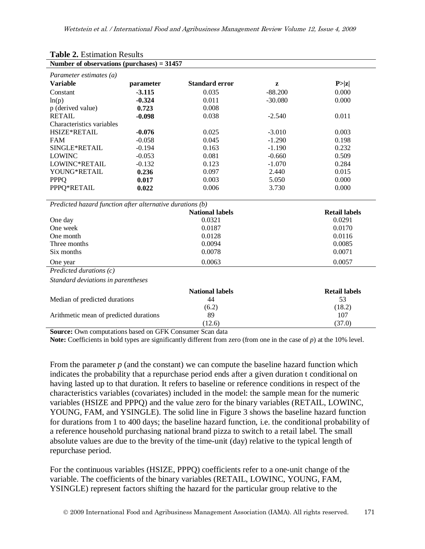| Number of observations (purchases) = $31457$              |           |                        |           |                      |  |  |
|-----------------------------------------------------------|-----------|------------------------|-----------|----------------------|--|--|
| Parameter estimates (a)                                   |           |                        |           |                      |  |  |
| <b>Variable</b>                                           | parameter | <b>Standard error</b>  | z         | P >  z               |  |  |
| Constant                                                  | $-3.115$  | 0.035                  | $-88.200$ | 0.000                |  |  |
| ln(p)                                                     | $-0.324$  | 0.011                  | $-30.080$ | 0.000                |  |  |
| p (derived value)                                         | 0.723     | 0.008                  |           |                      |  |  |
| <b>RETAIL</b>                                             | $-0.098$  | 0.038                  | $-2.540$  | 0.011                |  |  |
| Characteristics variables                                 |           |                        |           |                      |  |  |
| <b>HSIZE*RETAIL</b>                                       | $-0.076$  | 0.025                  | $-3.010$  | 0.003                |  |  |
| <b>FAM</b>                                                | $-0.058$  | 0.045                  | $-1.290$  | 0.198                |  |  |
| SINGLE*RETAIL                                             | $-0.194$  | 0.163                  | $-1.190$  | 0.232                |  |  |
| <b>LOWINC</b>                                             | $-0.053$  | 0.081                  | $-0.660$  | 0.509                |  |  |
| LOWINC*RETAIL                                             | $-0.132$  | 0.123                  | $-1.070$  | 0.284                |  |  |
| YOUNG*RETAIL                                              | 0.236     | 0.097                  | 2.440     | 0.015                |  |  |
| <b>PPPQ</b>                                               | 0.017     | 0.003                  | 5.050     | 0.000                |  |  |
| PPPQ*RETAIL                                               | 0.022     | 0.006                  | 3.730     | 0.000                |  |  |
| Predicted hazard function after alternative durations (b) |           |                        |           |                      |  |  |
|                                                           |           | <b>National labels</b> |           | <b>Retail labels</b> |  |  |
| One day                                                   |           | 0.0321                 |           | 0.0291               |  |  |
| One week                                                  |           | 0.0187                 |           | 0.0170               |  |  |
| One month                                                 |           | 0.0128                 |           | 0.0116               |  |  |
| Three months                                              |           | 0.0094                 |           | 0.0085               |  |  |
| Six months                                                |           | 0.0078                 |           | 0.0071               |  |  |
| One year                                                  |           | 0.0063                 |           | 0.0057               |  |  |
| Predicted durations $(c)$                                 |           |                        |           |                      |  |  |
| Standard deviations in parentheses                        |           |                        |           |                      |  |  |
|                                                           |           | <b>National labels</b> |           | <b>Retail labels</b> |  |  |
| Median of predicted durations                             |           | 44                     |           | 53                   |  |  |
|                                                           |           | (6.2)                  |           | (18.2)               |  |  |
| Arithmetic mean of predicted durations                    |           | 89                     |           | 107                  |  |  |
|                                                           |           | (12.6)                 |           | (37.0)               |  |  |

# **Table 2.** Estimation Results

**Source:** Own computations based on GFK Consumer Scan data

**Note:** Coefficients in bold types are significantly different from zero (from one in the case of *p*) at the 10% level.

From the parameter *p* (and the constant) we can compute the baseline hazard function which indicates the probability that a repurchase period ends after a given duration t conditional on having lasted up to that duration. It refers to baseline or reference conditions in respect of the characteristics variables (covariates) included in the model: the sample mean for the numeric variables (HSIZE and PPPQ) and the value zero for the binary variables (RETAIL, LOWINC, YOUNG, FAM, and YSINGLE). The solid line in Figure 3 shows the baseline hazard function for durations from 1 to 400 days; the baseline hazard function, i.e. the conditional probability of a reference household purchasing national brand pizza to switch to a retail label. The small absolute values are due to the brevity of the time-unit (day) relative to the typical length of repurchase period.

For the continuous variables (HSIZE, PPPQ) coefficients refer to a one-unit change of the variable. The coefficients of the binary variables (RETAIL, LOWINC, YOUNG, FAM, YSINGLE) represent factors shifting the hazard for the particular group relative to the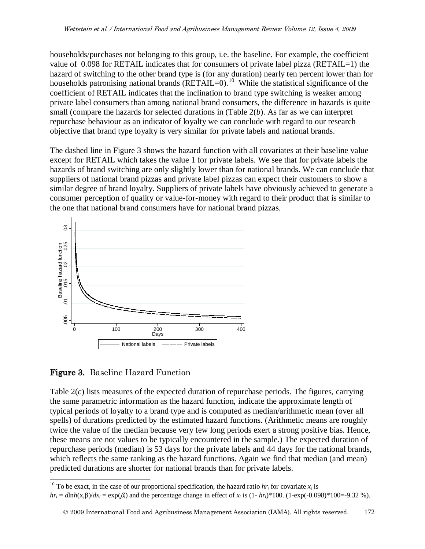households/purchases not belonging to this group, i.e. the baseline. For example, the coefficient value of 0.098 for RETAIL indicates that for consumers of private label pizza (RETAIL=1) the hazard of switching to the other brand type is (for any duration) nearly ten percent lower than for households patronising national brands  $(RETAIL=0)$ .<sup>10</sup> While the statistical significance of the coefficient of RETAIL indicates that the inclination to brand type switching is weaker among private label consumers than among national brand consumers, the difference in hazards is quite small (compare the hazards for selected durations in (Table 2(*b*). As far as we can interpret repurchase behaviour as an indicator of loyalty we can conclude with regard to our research objective that brand type loyalty is very similar for private labels and national brands.

The dashed line in Figure 3 shows the hazard function with all covariates at their baseline value except for RETAIL which takes the value 1 for private labels. We see that for private labels the hazards of brand switching are only slightly lower than for national brands. We can conclude that suppliers of national brand pizzas and private label pizzas can expect their customers to show a similar degree of brand loyalty. Suppliers of private labels have obviously achieved to generate a consumer perception of quality or value-for-money with regard to their product that is similar to the one that national brand consumers have for national brand pizzas.



Figure 3. Baseline Hazard Function

Table 2(*c*) lists measures of the expected duration of repurchase periods. The figures, carrying the same parametric information as the hazard function, indicate the approximate length of typical periods of loyalty to a brand type and is computed as median/arithmetic mean (over all spells) of durations predicted by the estimated hazard functions. (Arithmetic means are roughly twice the value of the median because very few long periods exert a strong positive bias. Hence, these means are not values to be typically encountered in the sample.) The expected duration of repurchase periods (median) is 53 days for the private labels and 44 days for the national brands, which reflects the same ranking as the hazard functions. Again we find that median (and mean) predicted durations are shorter for national brands than for private labels.

<span id="page-9-0"></span><sup>&</sup>lt;sup>10</sup> To be exact, in the case of our proportional specification, the hazard ratio  $hr_i$  for covariate  $x_i$  is

 $hr_i = d \ln h(x, \beta) / dx_i = \exp(\beta_i)$  and the percentage change in effect of  $x_i$  is  $(1 - hr_i)^* 100$ .  $(1 - \exp(-0.098)^* 100 = -9.32$  %).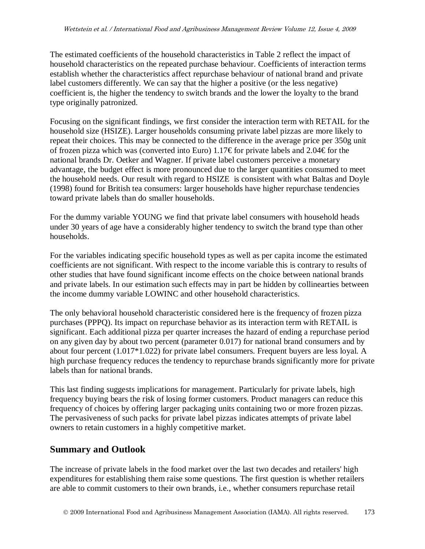The estimated coefficients of the household characteristics in Table 2 reflect the impact of household characteristics on the repeated purchase behaviour. Coefficients of interaction terms establish whether the characteristics affect repurchase behaviour of national brand and private label customers differently. We can say that the higher a positive (or the less negative) coefficient is, the higher the tendency to switch brands and the lower the loyalty to the brand type originally patronized.

Focusing on the significant findings, we first consider the interaction term with RETAIL for the household size (HSIZE). Larger households consuming private label pizzas are more likely to repeat their choices. This may be connected to the difference in the average price per 350g unit of frozen pizza which was (converted into Euro) 1.17€ for private labels and 2.04€ for the national brands Dr. Oetker and Wagner. If private label customers perceive a monetary advantage, the budget effect is more pronounced due to the larger quantities consumed to meet the household needs. Our result with regard to HSIZE is consistent with what Baltas and Doyle (1998) found for British tea consumers: larger households have higher repurchase tendencies toward private labels than do smaller households.

For the dummy variable YOUNG we find that private label consumers with household heads under 30 years of age have a considerably higher tendency to switch the brand type than other households.

For the variables indicating specific household types as well as per capita income the estimated coefficients are not significant. With respect to the income variable this is contrary to results of other studies that have found significant income effects on the choice between national brands and private labels. In our estimation such effects may in part be hidden by collinearties between the income dummy variable LOWINC and other household characteristics.

The only behavioral household characteristic considered here is the frequency of frozen pizza purchases (PPPQ). Its impact on repurchase behavior as its interaction term with RETAIL is significant. Each additional pizza per quarter increases the hazard of ending a repurchase period on any given day by about two percent (parameter 0.017) for national brand consumers and by about four percent (1.017\*1.022) for private label consumers. Frequent buyers are less loyal. A high purchase frequency reduces the tendency to repurchase brands significantly more for private labels than for national brands.

This last finding suggests implications for management. Particularly for private labels, high frequency buying bears the risk of losing former customers. Product managers can reduce this frequency of choices by offering larger packaging units containing two or more frozen pizzas. The pervasiveness of such packs for private label pizzas indicates attempts of private label owners to retain customers in a highly competitive market.

## **Summary and Outlook**

The increase of private labels in the food market over the last two decades and retailers' high expenditures for establishing them raise some questions. The first question is whether retailers are able to commit customers to their own brands, i.e., whether consumers repurchase retail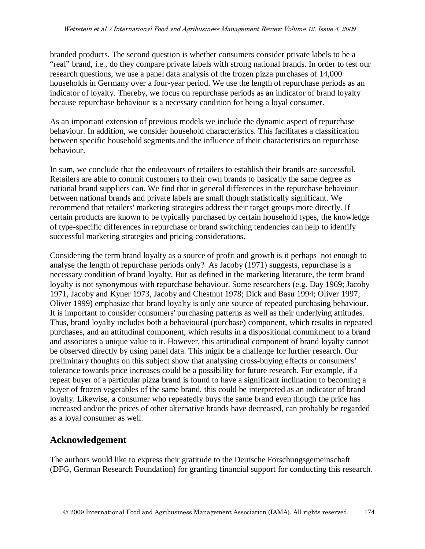branded products. The second question is whether consumers consider private labels to be a "real" brand, i.e., do they compare private labels with strong national brands. In order to test our research questions, we use a panel data analysis of the frozen pizza purchases of 14,000 households in Germany over a four-year period. We use the length of repurchase periods as an indicator of loyalty. Thereby, we focus on repurchase periods as an indicator of brand loyalty because repurchase behaviour is a necessary condition for being a loyal consumer.

As an important extension of previous models we include the dynamic aspect of repurchase behaviour. In addition, we consider household characteristics. This facilitates a classification between specific household segments and the influence of their characteristics on repurchase behaviour.

In sum, we conclude that the endeavours of retailers to establish their brands are successful. Retailers are able to commit customers to their own brands to basically the same degree as national brand suppliers can. We find that in general differences in the repurchase behaviour between national brands and private labels are small though statistically significant. We recommend that retailers' marketing strategies address their target groups more directly. If certain products are known to be typically purchased by certain household types, the knowledge of type-specific differences in repurchase or brand switching tendencies can help to identify successful marketing strategies and pricing considerations.

Considering the term brand loyalty as a source of profit and growth is it perhaps not enough to analyse the length of repurchase periods only? As Jacoby (1971) suggests, repurchase is a necessary condition of brand loyalty. But as defined in the marketing literature, the term brand loyalty is not synonymous with repurchase behaviour. Some researchers (e.g. Day 1969; Jacoby 1971, Jacoby and Kyner 1973, Jacoby and Chestnut 1978; Dick and Basu 1994; Oliver 1997; Oliver 1999) emphasize that brand loyalty is only one source of repeated purchasing behaviour. It is important to consider consumers' purchasing patterns as well as their underlying attitudes. Thus, brand loyalty includes both a behavioural (purchase) component, which results in repeated purchases, and an attitudinal component, which results in a dispositional commitment to a brand and associates a unique value to it. However, this attitudinal component of brand loyalty cannot be observed directly by using panel data. This might be a challenge for further research. Our preliminary thoughts on this subject show that analysing cross-buying effects or consumers' tolerance towards price increases could be a possibility for future research. For example, if a repeat buyer of a particular pizza brand is found to have a significant inclination to becoming a buyer of frozen vegetables of the same brand, this could be interpreted as an indicator of brand loyalty. Likewise, a consumer who repeatedly buys the same brand even though the price has increased and/or the prices of other alternative brands have decreased, can probably be regarded as a loyal consumer as well.

## **Acknowledgement**

The authors would like to express their gratitude to the Deutsche Forschungsgemeinschaft (DFG, German Research Foundation) for granting financial support for conducting this research.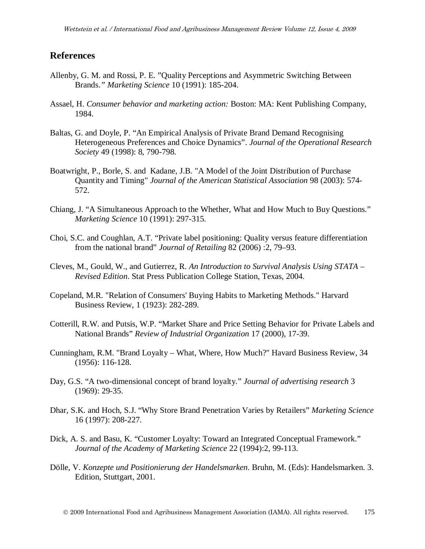#### **References**

- Allenby, G. M. and Rossi, P. E. "Quality Perceptions and Asymmetric Switching Between Brands.*" Marketing Science* 10 (1991): 185-204.
- Assael, H. *Consumer behavior and marketing action:* Boston: MA: Kent Publishing Company, 1984.
- Baltas, G. and Doyle, P. "An Empirical Analysis of Private Brand Demand Recognising Heterogeneous Preferences and Choice Dynamics". *Journal of the Operational Research Society* 49 (1998): 8, 790-798.
- Boatwright, P., Borle, S. and Kadane, J.B. "A Model of the Joint Distribution of Purchase Quantity and Timing" *Journal of the American Statistical Association* 98 (2003): 574- 572.
- Chiang, J. "A Simultaneous Approach to the Whether, What and How Much to Buy Questions." *Marketing Science* 10 (1991): 297-315.
- Choi, S.C. and Coughlan, A.T. "Private label positioning: Quality versus feature differentiation from the national brand" *Journal of Retailing* 82 (2006) :2, 79–93.
- Cleves, M., Gould, W., and Gutierrez, R. *An Introduction to Survival Analysis Using STATA – Revised Edition*. Stat Press Publication College Station, Texas, 2004.
- Copeland, M.R. "Relation of Consumers' Buying Habits to Marketing Methods." Harvard Business Review, 1 (1923): 282-289.
- Cotterill, R.W. and Putsis, W.P. "Market Share and Price Setting Behavior for Private Labels and National Brands" *Review of Industrial Organization* 17 (2000), 17-39.
- Cunningham, R.M. "Brand Loyalty What, Where, How Much?" Havard Business Review, 34 (1956): 116-128.
- Day, G.S. "A two-dimensional concept of brand loyalty." *Journal of advertising research* 3 (1969): 29-35.
- Dhar, S.K. and Hoch, S.J. "Why Store Brand Penetration Varies by Retailers" *Marketing Science* 16 (1997): 208-227.
- Dick, A. S. and Basu, K. "Customer Loyalty: Toward an Integrated Conceptual Framework." *Journal of the Academy of Marketing Science* 22 (1994):2, 99-113.
- Dölle, V. *Konzepte und Positionierung der Handelsmarken*. Bruhn, M. (Eds): Handelsmarken. 3. Edition, Stuttgart, 2001.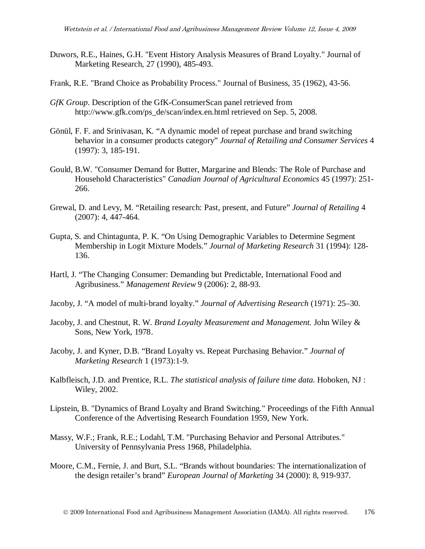- Duwors, R.E., Haines, G.H. "Event History Analysis Measures of Brand Loyalty." Journal of Marketing Research, 27 (1990), 485-493.
- Frank, R.E. "Brand Choice as Probability Process." Journal of Business, 35 (1962), 43-56.
- *GfK Group*. Description of the GfK-ConsumerScan panel retrieved from http://www.gfk.com/ps\_de/scan/index.en.html retrieved on Sep. 5, 2008.
- Gönül, F. F. and Srinivasan, K. "A dynamic model of repeat purchase and brand switching behavior in a consumer products category" *Journal of Retailing and Consumer Services* 4 (1997): 3, 185-191.
- Gould, B.W. "Consumer Demand for Butter, Margarine and Blends: The Role of Purchase and Household Characteristics" *Canadian Journal of Agricultural Economics* 45 (1997): 251- 266.
- Grewal, D. and Levy, M. "Retailing research: Past, present, and Future" *Journal of Retailing* 4 (2007): 4, 447-464.
- Gupta, S. and Chintagunta, P. K. "On Using Demographic Variables to Determine Segment Membership in Logit Mixture Models." *Journal of Marketing Research* 31 (1994): 128- 136.
- Hartl, J. "The Changing Consumer: Demanding but Predictable, International Food and Agribusiness." *Management Review* 9 (2006): 2, 88-93.
- Jacoby, J. "A model of multi-brand loyalty." *Journal of Advertising Research* (1971): 25–30.
- Jacoby, J. and Chestnut, R. W. *Brand Loyalty Measurement and Management.* John Wiley & Sons, New York, 1978.
- Jacoby, J. and Kyner, D.B. "Brand Loyalty vs. Repeat Purchasing Behavior." *Journal of Marketing Research* 1 (1973):1-9.
- Kalbfleisch, J.D. and Prentice, R.L. *The statistical analysis of failure time data*. Hoboken, NJ : Wiley, 2002.
- Lipstein, B. "Dynamics of Brand Loyalty and Brand Switching." Proceedings of the Fifth Annual Conference of the Advertising Research Foundation 1959, New York.
- Massy, W.F.; Frank, R.E.; Lodahl, T.M. "Purchasing Behavior and Personal Attributes." University of Pennsylvania Press 1968, Philadelphia.
- Moore, C.M., Fernie, J. and Burt, S.L. "Brands without boundaries: The internationalization of the design retailer's brand" *European Journal of Marketing* 34 (2000): 8, 919-937.